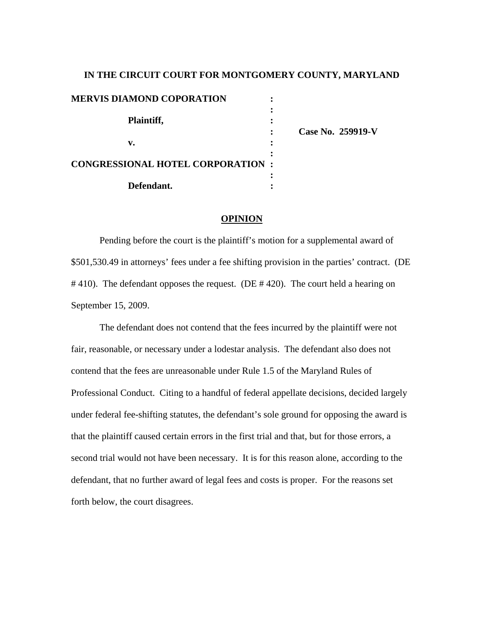# **IN THE CIRCUIT COURT FOR MONTGOMERY COUNTY, MARYLAND MERVIS DIAMOND COPORATION :**  *x*  $\mathbf{r}$   $\mathbf{r}$   $\mathbf{r}$   $\mathbf{r}$   $\mathbf{r}$   $\mathbf{r}$   $\mathbf{r}$   $\mathbf{r}$   $\mathbf{r}$   $\mathbf{r}$   $\mathbf{r}$   $\mathbf{r}$   $\mathbf{r}$   $\mathbf{r}$   $\mathbf{r}$   $\mathbf{r}$   $\mathbf{r}$   $\mathbf{r}$   $\mathbf{r}$   $\mathbf{r}$   $\mathbf{r}$   $\mathbf{r}$   $\mathbf{r}$   $\mathbf{r}$   **Plaintiff, : : Case No. 259919-V v. : : CONGRESSIONAL HOTEL CORPORATION :**  *x*  $\mathbf{r}$   $\mathbf{r}$   $\mathbf{r}$   $\mathbf{r}$   $\mathbf{r}$   $\mathbf{r}$   $\mathbf{r}$   $\mathbf{r}$   $\mathbf{r}$   $\mathbf{r}$   $\mathbf{r}$   $\mathbf{r}$   $\mathbf{r}$   $\mathbf{r}$   $\mathbf{r}$   $\mathbf{r}$   $\mathbf{r}$   $\mathbf{r}$   $\mathbf{r}$   $\mathbf{r}$   $\mathbf{r}$   $\mathbf{r}$   $\mathbf{r}$   $\mathbf{r}$   **Defendant. :**

## **OPINION**

 Pending before the court is the plaintiff's motion for a supplemental award of \$501,530.49 in attorneys' fees under a fee shifting provision in the parties' contract. (DE #410). The defendant opposes the request. (DE #420). The court held a hearing on September 15, 2009.

 The defendant does not contend that the fees incurred by the plaintiff were not fair, reasonable, or necessary under a lodestar analysis. The defendant also does not contend that the fees are unreasonable under Rule 1.5 of the Maryland Rules of Professional Conduct. Citing to a handful of federal appellate decisions, decided largely under federal fee-shifting statutes, the defendant's sole ground for opposing the award is that the plaintiff caused certain errors in the first trial and that, but for those errors, a second trial would not have been necessary. It is for this reason alone, according to the defendant, that no further award of legal fees and costs is proper. For the reasons set forth below, the court disagrees.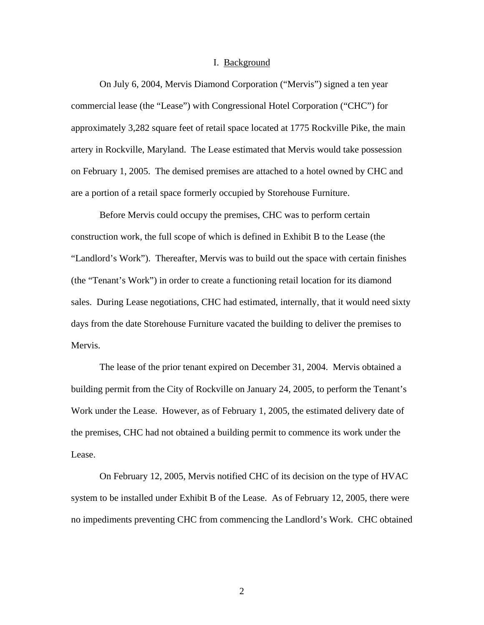#### I. Background

 On July 6, 2004, Mervis Diamond Corporation ("Mervis") signed a ten year commercial lease (the "Lease") with Congressional Hotel Corporation ("CHC") for approximately 3,282 square feet of retail space located at 1775 Rockville Pike, the main artery in Rockville, Maryland. The Lease estimated that Mervis would take possession on February 1, 2005. The demised premises are attached to a hotel owned by CHC and are a portion of a retail space formerly occupied by Storehouse Furniture.

Before Mervis could occupy the premises, CHC was to perform certain construction work, the full scope of which is defined in Exhibit B to the Lease (the "Landlord's Work"). Thereafter, Mervis was to build out the space with certain finishes (the "Tenant's Work") in order to create a functioning retail location for its diamond sales. During Lease negotiations, CHC had estimated, internally, that it would need sixty days from the date Storehouse Furniture vacated the building to deliver the premises to Mervis.

The lease of the prior tenant expired on December 31, 2004. Mervis obtained a building permit from the City of Rockville on January 24, 2005, to perform the Tenant's Work under the Lease. However, as of February 1, 2005, the estimated delivery date of the premises, CHC had not obtained a building permit to commence its work under the Lease.

 On February 12, 2005, Mervis notified CHC of its decision on the type of HVAC system to be installed under Exhibit B of the Lease. As of February 12, 2005, there were no impediments preventing CHC from commencing the Landlord's Work. CHC obtained

2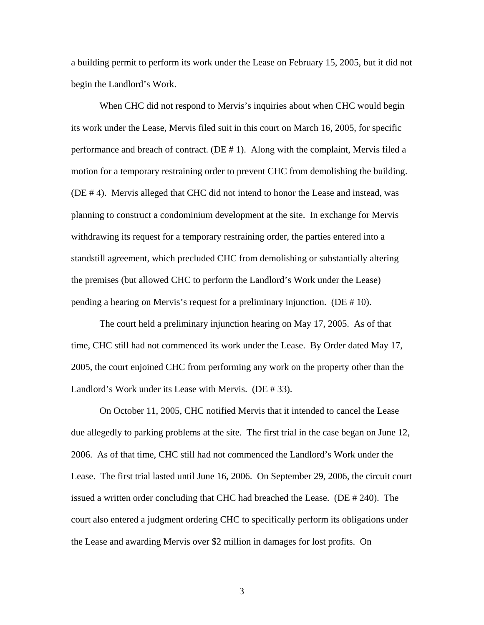a building permit to perform its work under the Lease on February 15, 2005, but it did not begin the Landlord's Work.

When CHC did not respond to Mervis's inquiries about when CHC would begin its work under the Lease, Mervis filed suit in this court on March 16, 2005, for specific performance and breach of contract. (DE # 1). Along with the complaint, Mervis filed a motion for a temporary restraining order to prevent CHC from demolishing the building. (DE # 4). Mervis alleged that CHC did not intend to honor the Lease and instead, was planning to construct a condominium development at the site. In exchange for Mervis withdrawing its request for a temporary restraining order, the parties entered into a standstill agreement, which precluded CHC from demolishing or substantially altering the premises (but allowed CHC to perform the Landlord's Work under the Lease) pending a hearing on Mervis's request for a preliminary injunction. (DE # 10).

 The court held a preliminary injunction hearing on May 17, 2005. As of that time, CHC still had not commenced its work under the Lease. By Order dated May 17, 2005, the court enjoined CHC from performing any work on the property other than the Landlord's Work under its Lease with Mervis. (DE # 33).

 On October 11, 2005, CHC notified Mervis that it intended to cancel the Lease due allegedly to parking problems at the site. The first trial in the case began on June 12, 2006. As of that time, CHC still had not commenced the Landlord's Work under the Lease. The first trial lasted until June 16, 2006. On September 29, 2006, the circuit court issued a written order concluding that CHC had breached the Lease. (DE # 240). The court also entered a judgment ordering CHC to specifically perform its obligations under the Lease and awarding Mervis over \$2 million in damages for lost profits. On

3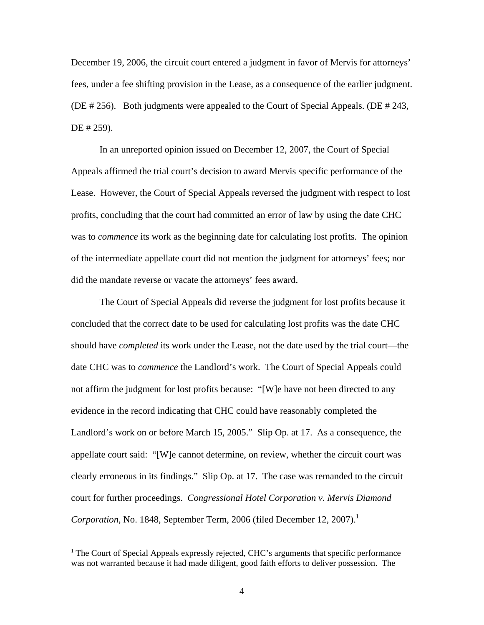December 19, 2006, the circuit court entered a judgment in favor of Mervis for attorneys' fees, under a fee shifting provision in the Lease, as a consequence of the earlier judgment. (DE # 256). Both judgments were appealed to the Court of Special Appeals. (DE # 243, DE # 259).

 In an unreported opinion issued on December 12, 2007, the Court of Special Appeals affirmed the trial court's decision to award Mervis specific performance of the Lease. However, the Court of Special Appeals reversed the judgment with respect to lost profits, concluding that the court had committed an error of law by using the date CHC was to *commence* its work as the beginning date for calculating lost profits. The opinion of the intermediate appellate court did not mention the judgment for attorneys' fees; nor did the mandate reverse or vacate the attorneys' fees award.

The Court of Special Appeals did reverse the judgment for lost profits because it concluded that the correct date to be used for calculating lost profits was the date CHC should have *completed* its work under the Lease, not the date used by the trial court—the date CHC was to *commence* the Landlord's work. The Court of Special Appeals could not affirm the judgment for lost profits because: "[W]e have not been directed to any evidence in the record indicating that CHC could have reasonably completed the Landlord's work on or before March 15, 2005." Slip Op. at 17. As a consequence, the appellate court said: "[W]e cannot determine, on review, whether the circuit court was clearly erroneous in its findings." Slip Op. at 17. The case was remanded to the circuit court for further proceedings. *Congressional Hotel Corporation v. Mervis Diamond Corporation*, No. 1848, September Term, 2006 (filed December 12, 2007).<sup>1</sup>

 $<sup>1</sup>$  The Court of Special Appeals expressly rejected, CHC's arguments that specific performance</sup> was not warranted because it had made diligent, good faith efforts to deliver possession. The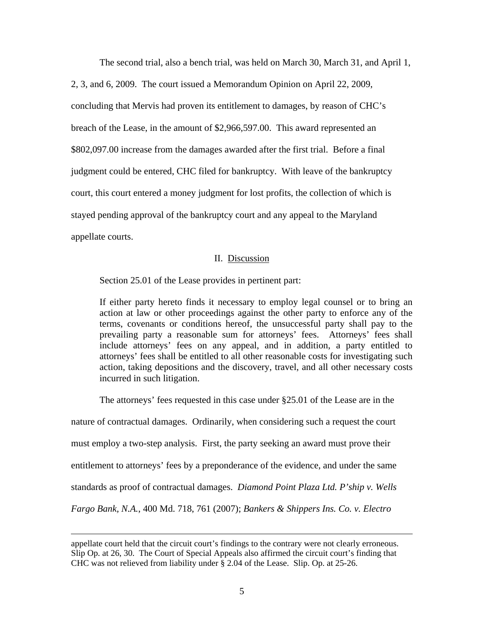The second trial, also a bench trial, was held on March 30, March 31, and April 1,

2, 3, and 6, 2009. The court issued a Memorandum Opinion on April 22, 2009, concluding that Mervis had proven its entitlement to damages, by reason of CHC's breach of the Lease, in the amount of \$2,966,597.00. This award represented an \$802,097.00 increase from the damages awarded after the first trial. Before a final judgment could be entered, CHC filed for bankruptcy. With leave of the bankruptcy court, this court entered a money judgment for lost profits, the collection of which is stayed pending approval of the bankruptcy court and any appeal to the Maryland appellate courts.

## II. Discussion

Section 25.01 of the Lease provides in pertinent part:

 If either party hereto finds it necessary to employ legal counsel or to bring an action at law or other proceedings against the other party to enforce any of the terms, covenants or conditions hereof, the unsuccessful party shall pay to the prevailing party a reasonable sum for attorneys' fees. Attorneys' fees shall include attorneys' fees on any appeal, and in addition, a party entitled to attorneys' fees shall be entitled to all other reasonable costs for investigating such action, taking depositions and the discovery, travel, and all other necessary costs incurred in such litigation.

The attorneys' fees requested in this case under §25.01 of the Lease are in the

nature of contractual damages. Ordinarily, when considering such a request the court

must employ a two-step analysis. First, the party seeking an award must prove their

entitlement to attorneys' fees by a preponderance of the evidence, and under the same

standards as proof of contractual damages. *Diamond Point Plaza Ltd. P'ship v. Wells* 

*Fargo Bank, N.A.*, 400 Md. 718, 761 (2007); *Bankers & Shippers Ins. Co. v. Electro* 

1

appellate court held that the circuit court's findings to the contrary were not clearly erroneous. Slip Op. at 26, 30. The Court of Special Appeals also affirmed the circuit court's finding that CHC was not relieved from liability under § 2.04 of the Lease. Slip. Op. at 25-26.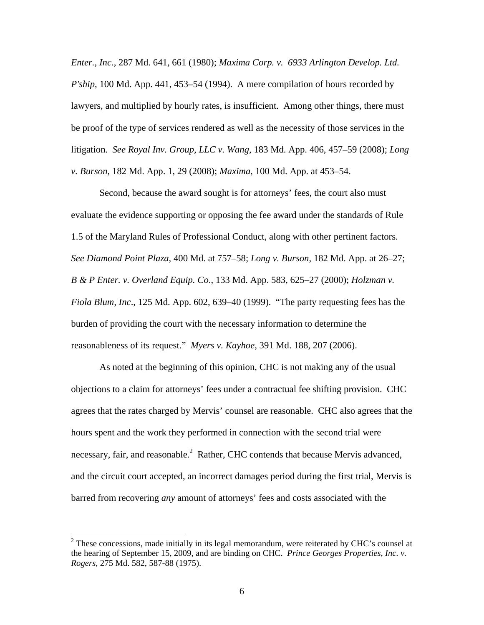*Enter., Inc*., 287 Md. 641, 661 (1980); *Maxima Corp. v. 6933 Arlington Develop. Ltd. P'ship*, 100 Md. App. 441, 453–54 (1994). A mere compilation of hours recorded by lawyers, and multiplied by hourly rates, is insufficient. Among other things, there must be proof of the type of services rendered as well as the necessity of those services in the litigation. *See Royal Inv. Group, LLC v. Wang*, 183 Md. App. 406, 457–59 (2008); *Long v. Burson*, 182 Md. App. 1, 29 (2008); *Maxima*, 100 Md. App. at 453–54.

 Second, because the award sought is for attorneys' fees, the court also must evaluate the evidence supporting or opposing the fee award under the standards of Rule 1.5 of the Maryland Rules of Professional Conduct, along with other pertinent factors. *See Diamond Point Plaza*, 400 Md. at 757–58; *Long v. Burson*, 182 Md. App. at 26–27; *B & P Enter. v. Overland Equip. Co*., 133 Md. App. 583, 625–27 (2000); *Holzman v. Fiola Blum, Inc*., 125 Md. App. 602, 639–40 (1999). "The party requesting fees has the burden of providing the court with the necessary information to determine the reasonableness of its request." *Myers v. Kayhoe*, 391 Md. 188, 207 (2006).

 As noted at the beginning of this opinion, CHC is not making any of the usual objections to a claim for attorneys' fees under a contractual fee shifting provision. CHC agrees that the rates charged by Mervis' counsel are reasonable. CHC also agrees that the hours spent and the work they performed in connection with the second trial were necessary, fair, and reasonable.<sup>2</sup> Rather, CHC contends that because Mervis advanced, and the circuit court accepted, an incorrect damages period during the first trial, Mervis is barred from recovering *any* amount of attorneys' fees and costs associated with the

 $2^2$  These concessions, made initially in its legal memorandum, were reiterated by CHC's counsel at the hearing of September 15, 2009, and are binding on CHC. *Prince Georges Properties, Inc. v. Rogers*, 275 Md. 582, 587-88 (1975).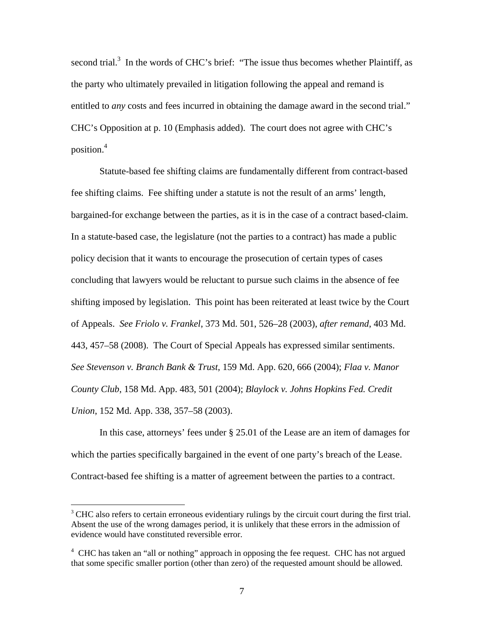second trial.<sup>3</sup> In the words of CHC's brief: "The issue thus becomes whether Plaintiff, as the party who ultimately prevailed in litigation following the appeal and remand is entitled to *any* costs and fees incurred in obtaining the damage award in the second trial." CHC's Opposition at p. 10 (Emphasis added). The court does not agree with CHC's position.<sup>4</sup>

 Statute-based fee shifting claims are fundamentally different from contract-based fee shifting claims. Fee shifting under a statute is not the result of an arms' length, bargained-for exchange between the parties, as it is in the case of a contract based-claim. In a statute-based case, the legislature (not the parties to a contract) has made a public policy decision that it wants to encourage the prosecution of certain types of cases concluding that lawyers would be reluctant to pursue such claims in the absence of fee shifting imposed by legislation. This point has been reiterated at least twice by the Court of Appeals. *See Friolo v. Frankel*, 373 Md. 501, 526–28 (2003), *after remand*, 403 Md. 443, 457–58 (2008). The Court of Special Appeals has expressed similar sentiments. *See Stevenson v. Branch Bank & Trust*, 159 Md. App. 620, 666 (2004); *Flaa v. Manor County Club*, 158 Md. App. 483, 501 (2004); *Blaylock v. Johns Hopkins Fed. Credit Union*, 152 Md. App. 338, 357–58 (2003).

 In this case, attorneys' fees under § 25.01 of the Lease are an item of damages for which the parties specifically bargained in the event of one party's breach of the Lease. Contract-based fee shifting is a matter of agreement between the parties to a contract.

 $3$  CHC also refers to certain erroneous evidentiary rulings by the circuit court during the first trial. Absent the use of the wrong damages period, it is unlikely that these errors in the admission of evidence would have constituted reversible error.

 $4$  CHC has taken an "all or nothing" approach in opposing the fee request. CHC has not argued that some specific smaller portion (other than zero) of the requested amount should be allowed.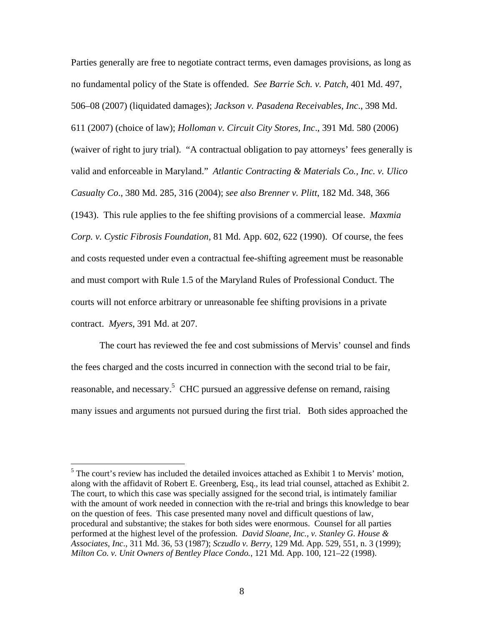Parties generally are free to negotiate contract terms, even damages provisions, as long as no fundamental policy of the State is offended. *See Barrie Sch. v. Patch*, 401 Md. 497, 506–08 (2007) (liquidated damages); *Jackson v. Pasadena Receivables, Inc*., 398 Md. 611 (2007) (choice of law); *Holloman v. Circuit City Stores, Inc*., 391 Md. 580 (2006) (waiver of right to jury trial). "A contractual obligation to pay attorneys' fees generally is valid and enforceable in Maryland." *Atlantic Contracting & Materials Co., Inc. v. Ulico Casualty Co*., 380 Md. 285, 316 (2004); *see also Brenner v. Plitt*, 182 Md. 348, 366 (1943). This rule applies to the fee shifting provisions of a commercial lease. *Maxmia Corp. v. Cystic Fibrosis Foundation*, 81 Md. App. 602, 622 (1990). Of course, the fees and costs requested under even a contractual fee-shifting agreement must be reasonable and must comport with Rule 1.5 of the Maryland Rules of Professional Conduct. The courts will not enforce arbitrary or unreasonable fee shifting provisions in a private contract. *Myers*, 391 Md. at 207.

 The court has reviewed the fee and cost submissions of Mervis' counsel and finds the fees charged and the costs incurred in connection with the second trial to be fair, reasonable, and necessary.<sup>5</sup> CHC pursued an aggressive defense on remand, raising many issues and arguments not pursued during the first trial. Both sides approached the

 $<sup>5</sup>$  The court's review has included the detailed invoices attached as Exhibit 1 to Mervis' motion,</sup> along with the affidavit of Robert E. Greenberg, Esq., its lead trial counsel, attached as Exhibit 2. The court, to which this case was specially assigned for the second trial, is intimately familiar with the amount of work needed in connection with the re-trial and brings this knowledge to bear on the question of fees. This case presented many novel and difficult questions of law, procedural and substantive; the stakes for both sides were enormous. Counsel for all parties performed at the highest level of the profession. *David Sloane, Inc., v. Stanley G. House & Associates, Inc*., 311 Md. 36, 53 (1987); *Sczudlo v. Berry*, 129 Md. App. 529, 551, n. 3 (1999); *Milton Co. v. Unit Owners of Bentley Place Condo.*, 121 Md. App. 100, 121–22 (1998).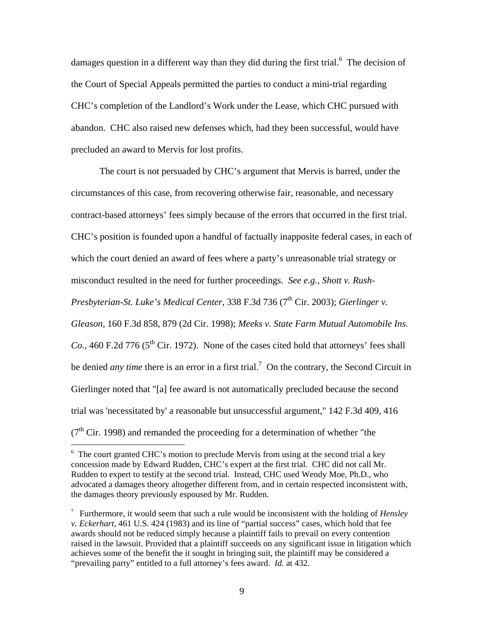damages question in a different way than they did during the first trial.<sup>6</sup> The decision of the Court of Special Appeals permitted the parties to conduct a mini-trial regarding CHC's completion of the Landlord's Work under the Lease, which CHC pursued with abandon. CHC also raised new defenses which, had they been successful, would have precluded an award to Mervis for lost profits.

The court is not persuaded by CHC's argument that Mervis is barred, under the circumstances of this case, from recovering otherwise fair, reasonable, and necessary contract-based attorneys' fees simply because of the errors that occurred in the first trial. CHC's position is founded upon a handful of factually inapposite federal cases, in each of which the court denied an award of fees where a party's unreasonable trial strategy or misconduct resulted in the need for further proceedings. *See e.g., Shott v. Rush-Presbyterian-St. Luke's Medical Center, 338 F.3d 736 (7<sup>th</sup> Cir. 2003); <i>Gierlinger v. Gleason*, 160 F.3d 858, 879 (2d Cir. 1998); *Meeks v. State Farm Mutual Automobile Ins. Co.*, 460 F.2d 776 ( $5<sup>th</sup>$  Cir. 1972). None of the cases cited hold that attorneys' fees shall be denied *any time* there is an error in a first trial.<sup>7</sup> On the contrary, the Second Circuit in Gierlinger noted that "[a] fee award is not automatically precluded because the second trial was 'necessitated by' a reasonable but unsuccessful argument," 142 F.3d 409, 416  $(7<sup>th</sup> Cir. 1998)$  and remanded the proceeding for a determination of whether "the

<sup>&</sup>lt;sup>6</sup> The court granted CHC's motion to preclude Mervis from using at the second trial a key concession made by Edward Rudden, CHC's expert at the first trial. CHC did not call Mr. Rudden to expert to testify at the second trial. Instead, CHC used Wendy Moe, Ph.D., who advocated a damages theory altogether different from, and in certain respected inconsistent with, the damages theory previously espoused by Mr. Rudden.

<sup>7</sup> Furthermore, it would seem that such a rule would be inconsistent with the holding of *Hensley v. Eckerhart*, 461 U.S. 424 (1983) and its line of "partial success" cases, which hold that fee awards should not be reduced simply because a plaintiff fails to prevail on every contention raised in the lawsuit. Provided that a plaintiff succeeds on any significant issue in litigation which achieves some of the benefit the it sought in bringing suit, the plaintiff may be considered a "prevailing party" entitled to a full attorney's fees award. *Id.* at 432.